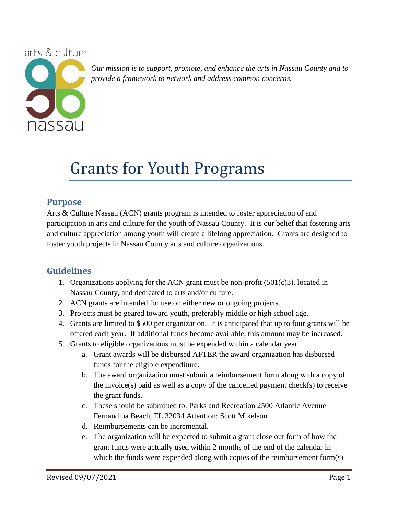

*Our mission is to support, promote, and enhance the arts in Nassau County and to provide a framework to network and address common concerns.*

## Grants for Youth Programs

### **Purpose**

Arts & Culture Nassau (ACN) grants program is intended to foster appreciation of and participation in arts and culture for the youth of Nassau County. It is our belief that fostering arts and culture appreciation among youth will create a lifelong appreciation. Grants are designed to foster youth projects in Nassau County arts and culture organizations.

## **Guidelines**

- 1. Organizations applying for the ACN grant must be non-profit  $(501(c)3)$ , located in Nassau County, and dedicated to arts and/or culture.
- 2. ACN grants are intended for use on either new or ongoing projects.
- 3. Projects must be geared toward youth, preferably middle or high school age.
- 4. Grants are limited to \$500 per organization. It is anticipated that up to four grants will be offered each year. If additional funds become available, this amount may be increased.
- 5. Grants to eligible organizations must be expended within a calendar year.
	- a. Grant awards will be disbursed AFTER the award organization has disbursed funds for the eligible expenditure.
	- b. The award organization must submit a reimbursement form along with a copy of the invoice(s) paid as well as a copy of the cancelled payment check(s) to receive the grant funds.
	- c. These should be submitted to: Parks and Recreation 2500 Atlantic Avenue Fernandina Beach, FL 32034 Attention: Scott Mikelson
	- d. Reimbursements can be incremental.
	- e. The organization will be expected to submit a grant close out form of how the grant funds were actually used within 2 months of the end of the calendar in which the funds were expended along with copies of the reimbursement form(s)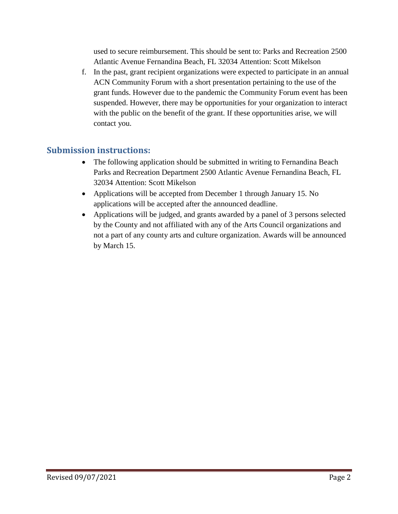used to secure reimbursement. This should be sent to: Parks and Recreation 2500 Atlantic Avenue Fernandina Beach, FL 32034 Attention: Scott Mikelson

f. In the past, grant recipient organizations were expected to participate in an annual ACN Community Forum with a short presentation pertaining to the use of the grant funds. However due to the pandemic the Community Forum event has been suspended. However, there may be opportunities for your organization to interact with the public on the benefit of the grant. If these opportunities arise, we will contact you.

## **Submission instructions:**

- The following application should be submitted in writing to Fernandina Beach Parks and Recreation Department 2500 Atlantic Avenue Fernandina Beach, FL 32034 Attention: Scott Mikelson
- Applications will be accepted from December 1 through January 15. No applications will be accepted after the announced deadline.
- Applications will be judged, and grants awarded by a panel of 3 persons selected by the County and not affiliated with any of the Arts Council organizations and not a part of any county arts and culture organization. Awards will be announced by March 15.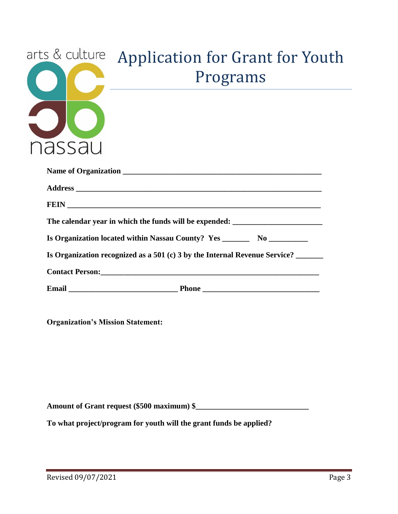

# arts & culture Application for Grant for Youth Programs

| The calendar year in which the funds will be expended: __________________________ |  |  |
|-----------------------------------------------------------------------------------|--|--|
| Is Organization located within Nassau County? Yes _______________________________ |  |  |
| Is Organization recognized as a 501 (c) 3 by the Internal Revenue Service?        |  |  |
|                                                                                   |  |  |
|                                                                                   |  |  |

**Organization's Mission Statement:**

**Amount of Grant request (\$500 maximum) \$\_\_\_\_\_\_\_\_\_\_\_\_\_\_\_\_\_\_\_\_\_\_\_\_\_\_\_\_\_**

**To what project/program for youth will the grant funds be applied?**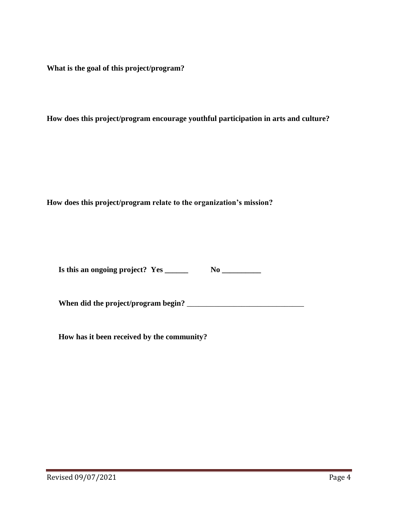**What is the goal of this project/program?**

**How does this project/program encourage youthful participation in arts and culture?**

**How does this project/program relate to the organization's mission?**

| Is this an ongoing project? Yes | No |
|---------------------------------|----|
|                                 |    |

**When did the project/program begin?** \_\_\_\_\_\_\_\_\_\_\_\_\_\_\_\_\_\_\_\_\_\_\_\_\_\_\_\_\_\_

**How has it been received by the community?**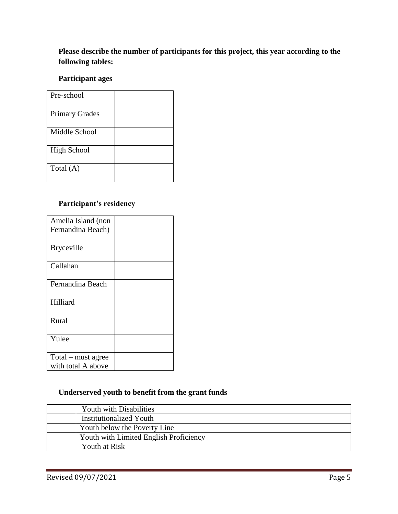### **Please describe the number of participants for this project, this year according to the following tables:**

### **Participant ages**

| Pre-school            |  |
|-----------------------|--|
| <b>Primary Grades</b> |  |
| Middle School         |  |
| <b>High School</b>    |  |
| Total (A)             |  |

### **Participant's residency**

| Amelia Island (non |  |
|--------------------|--|
| Fernandina Beach)  |  |
|                    |  |
| <b>Bryceville</b>  |  |
|                    |  |
| Callahan           |  |
|                    |  |
| Fernandina Beach   |  |
|                    |  |
| Hilliard           |  |
|                    |  |
| Rural              |  |
|                    |  |
| Yulee              |  |
|                    |  |
| Total – must agree |  |
| with total A above |  |

### **Underserved youth to benefit from the grant funds**

| <b>Youth with Disabilities</b>         |
|----------------------------------------|
| <b>Institutionalized Youth</b>         |
| Youth below the Poverty Line           |
| Youth with Limited English Proficiency |
| Youth at Risk                          |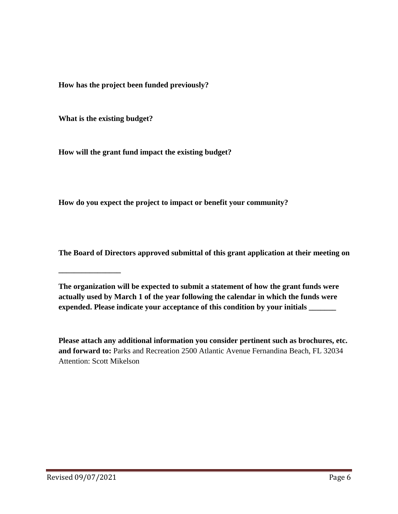**How has the project been funded previously?**

**What is the existing budget?**

**\_\_\_\_\_\_\_\_\_\_\_\_\_\_\_\_**

**How will the grant fund impact the existing budget?**

**How do you expect the project to impact or benefit your community?**

**The Board of Directors approved submittal of this grant application at their meeting on** 

**The organization will be expected to submit a statement of how the grant funds were actually used by March 1 of the year following the calendar in which the funds were expended. Please indicate your acceptance of this condition by your initials \_\_\_\_\_\_\_**

**Please attach any additional information you consider pertinent such as brochures, etc. and forward to:** Parks and Recreation 2500 Atlantic Avenue Fernandina Beach, FL 32034 Attention: Scott Mikelson